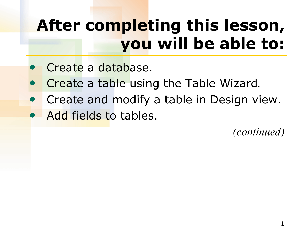### **After completing this lesson, you will be able to:**

- **Create a database.**
- Create a table using the Table Wizard*.*
- Create and modify a table in Design view.
- Add fields to tables.

*(continued)*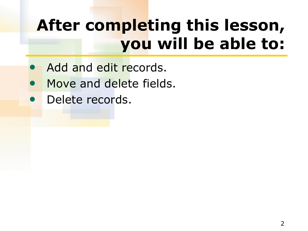### **After completing this lesson, you will be able to:**

- Add and edit records.
- Move and delete fields.
- Delete records.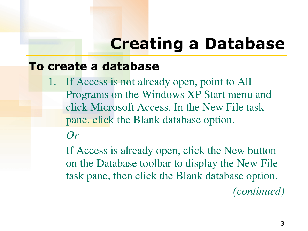### **Creating a Database**

#### **To create a database**

1. If Access is not already open, point to All Programs on the Windows XP Start menu and click Microsoft Access. In the New File task pane, click the Blank database option.

#### *Or*

 If Access is already open, click the New button on the Database toolbar to display the New File task pane, then click the Blank database option.

*(continued)*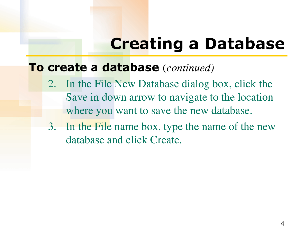### **Creating a Database**

#### **To create a database** (*continued)*

- 2. In the File New Database dialog box, click the Save in down arrow to navigate to the location where you want to save the new database.
- 3. In the File name box, type the name of the new database and click Create.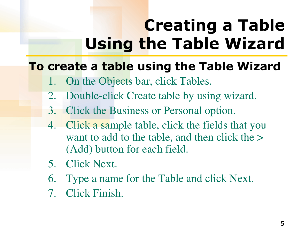# **Creating a Table Using the Table Wizard**

### **To create a table using the Table Wizard**

- 1. On the Objects bar, click Tables.
- 2. Double-click Create table by using wizard.
- 3. Click the Business or Personal option.
- 4. Click a sample table, click the fields that you want to add to the table, and then click the  $>$ (Add) button for each field.
- 5. Click Next.
- 6. Type a name for the Table and click Next.
- 7. Click Finish.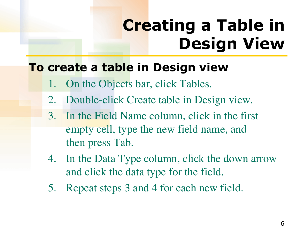### **Creating a Table in Design View**

### **To create a table in Design view**

- 1. On the Objects bar, click Tables.
- 2. Double-click Create table in Design view.
- 3. In the Field Name column, click in the first empty cell, type the new field name, and then press Tab.
- 4. In the Data Type column, click the down arrow and click the data type for the field.
- 5. Repeat steps 3 and 4 for each new field.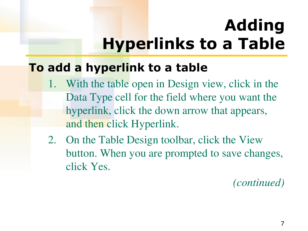# **Adding Hyperlinks to a Table**

### **To add a hyperlink to a table**

- With the table open in Design view, click in the Data Type cell for the field where you want the hyperlink, click the down arrow that appears, and then click Hyperlink.
- 2. On the Table Design toolbar, click the View button. When you are prompted to save changes, click Yes.

*(continued)*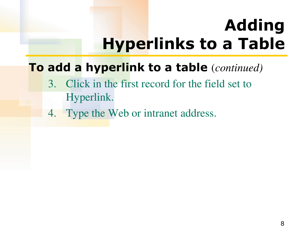# **Adding Hyperlinks to a Table**

### **To add a hyperlink to a table** (*continued)*

- 3. Click in the first record for the field set to Hyperlink.
- 4. Type the Web or intranet address.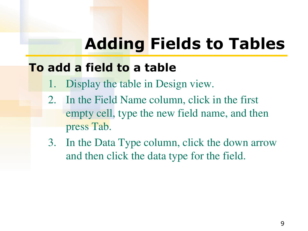# **Adding Fields to Tables**

### **To add a field to a table**

- 1. Display the table in Design view.
- 2. In the Field Name column, click in the first empty cell, type the new field name, and then press Tab.
- 3. In the Data Type column, click the down arrow and then click the data type for the field.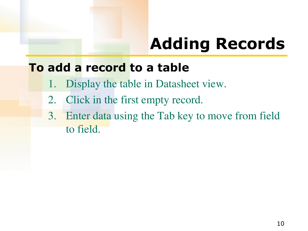# **Adding Records**

### **To add a record to a table**

- 1. Display the table in Datasheet view.
- 2. Click in the first empty record.
- 3. Enter data using the Tab key to move from field to field.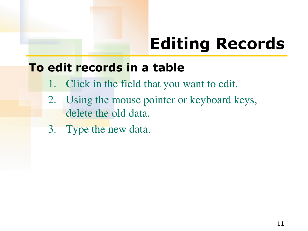# **Editing Records**

### **To edit records in a table**

- 1. Click in the field that you want to edit.
- 2. Using the mouse pointer or keyboard keys, delete the old data.
- 3. Type the new data.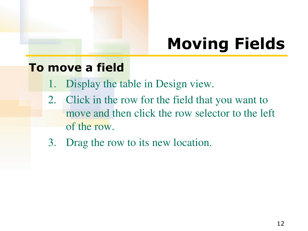# **Moving Fields**

#### **To move a field**

- 1. Display the table in Design view.
- 2. Click in the row for the field that you want to move and then click the row selector to the left of the row.
- 3. Drag the row to its new location.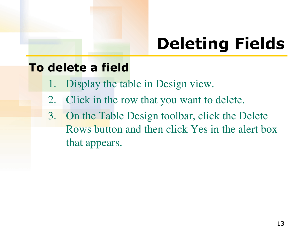# **Deleting Fields**

### **To delete a field**

- 1. Display the table in Design view.
- 2. Click in the row that you want to delete.
- 3. On the Table Design toolbar, click the Delete Rows button and then click Yes in the alert box that appears.